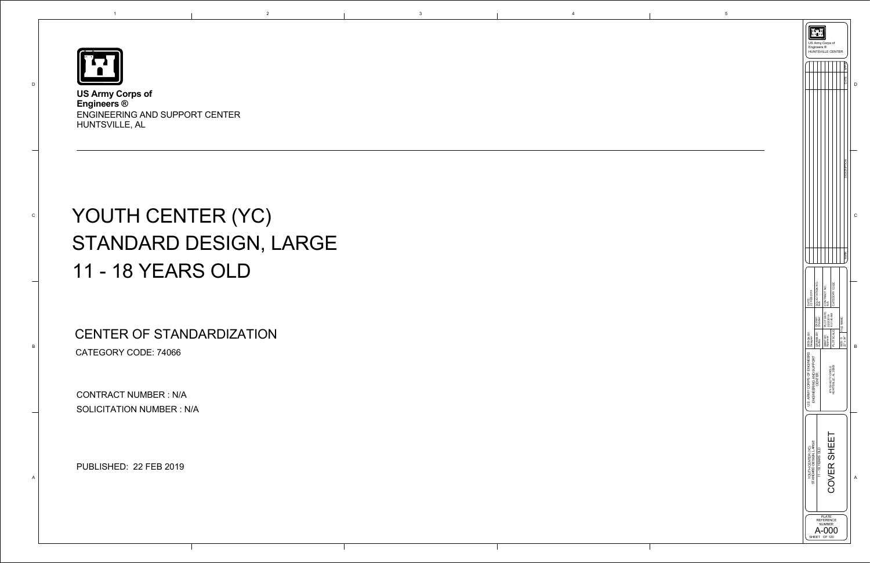

D

C

B

A

1

**US Army Corps of Engineers ®** ENGINEERING AND SUPPORT CENTER HUNTSVILLE, AL

# YOUTH CENTER (YC) STANDARD DESIGN, LARGE 11 - 18 YEARS OLD

|                                                         | Engineers ®                                        | US Army Corps of<br><b>HUNTSVILLE CENTER</b>                |                |                                           |   |
|---------------------------------------------------------|----------------------------------------------------|-------------------------------------------------------------|----------------|-------------------------------------------|---|
|                                                         |                                                    |                                                             |                | <b>APPR</b><br>DATE                       |   |
|                                                         |                                                    |                                                             |                | <b>DESCRIPTION</b>                        | C |
|                                                         |                                                    |                                                             |                | <b>MARK</b>                               |   |
| DATE:<br>22 FEB 2019                                    | SOLICITATION NO.:<br>N/A                           | PLOT DATE: CONTRACT NO.:<br>2/22/2019 N/A                   | CATEGORY CODE: |                                           |   |
| y.<br>B∕<br>DESIGN E<br>Designer                        | BY: CKD BY:<br>Checker<br><b>DRAWN E</b><br>Author | 2/22/2019<br>  9:31:40 AM<br>SBMT BY:<br>Approver           | PLOT SCALE:    | FILE NAME:<br>$22" \times 34"$<br>SIZE: D | B |
| U.S. ARMY CORPS OF ENGINEERS<br>ENGINEERING AND SUPPORT | CENTER                                             | 475 QUALITY CIRCLE<br>HUNTSVILLE, AL 35806                  |                |                                           |   |
| STANDARD DESIGN, LARGE<br>YOUTH CENTER (YC)             | 11 - 18 YEARS OLD                                  |                                                             | COVER SHEET    |                                           | A |
|                                                         | SHEET                                              | <b>PLATE</b><br><b>REFERENCE</b><br><b>NUMBER</b><br>OF 120 |                |                                           |   |

CONTRACT NUMBER : N/A SOLICITATION NUMBER : N/A

PUBLISHED: 22 FEB 2019

CENTER OF STANDARDIZATION CATEGORY CODE: 74066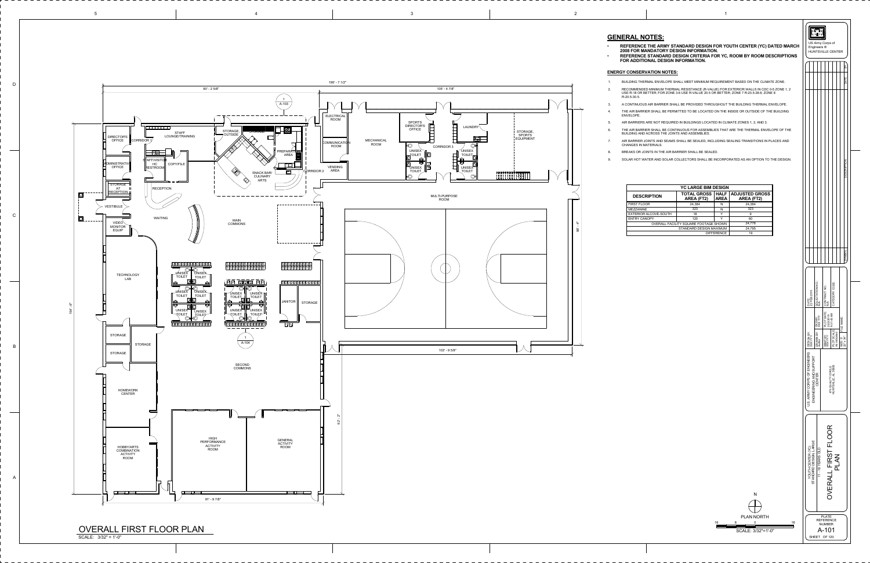| OR YOUTH CENTER (YC) DATED MARCH                                                                                                                                                                            | US Army Corps of<br>Engineers ®<br>HUNTSVILLE CENTER                                                                                                                                                                                                                                                           |  |  |  |  |  |
|-------------------------------------------------------------------------------------------------------------------------------------------------------------------------------------------------------------|----------------------------------------------------------------------------------------------------------------------------------------------------------------------------------------------------------------------------------------------------------------------------------------------------------------|--|--|--|--|--|
| R YC, ROOM BY ROOM DESCRIPTIONS                                                                                                                                                                             | ΡX                                                                                                                                                                                                                                                                                                             |  |  |  |  |  |
| UIREMENT BASED ON THE CLIMATE ZONE.<br>E) FOR EXTERIOR WALLS IN CDC 0-5 ZONE 1, 2<br>BETTER; ZONE 7 R-20.5-28.6; ZONE 8<br>GHOUT THE BUILDING THERMAL ENVELOPE.<br>IN THE INSIDE OR OUTSIDE OF THE BUILDING | DATE                                                                                                                                                                                                                                                                                                           |  |  |  |  |  |
| IN CLIMATE ZONES 1, 2, AND 3.<br>S THAT ARE THE THERMAL ENVELOPE OF THE<br><b>JDING SEALING TRANSITIONS IN PLACES AND</b><br>).<br><b>CORPORATED AS AN OPTION TO THE DESIGN.</b>                            | <b>DESCRIPTION</b>                                                                                                                                                                                                                                                                                             |  |  |  |  |  |
| ESIGN<br><b>HALF</b><br><b>ADJUSTED GROSS</b><br><b>AREA</b><br><b>AREA (FT2)</b><br>24,384<br>N<br>323<br>${\sf N}$<br>9<br>Υ<br>Υ<br>60<br>24,776<br>HOWN<br>24,795<br>MUMIX<br>RENCE<br>19               |                                                                                                                                                                                                                                                                                                                |  |  |  |  |  |
|                                                                                                                                                                                                             | SYMBOL                                                                                                                                                                                                                                                                                                         |  |  |  |  |  |
|                                                                                                                                                                                                             | SOLICITATION NO.:<br>N/A<br>CATEGORY CODE<br>CONTRACT NO.:<br>N/A<br>DATE:<br>22 FEB 2019<br>PLOT DATE:<br>2/22/2019<br>9:31:43 AM<br>CKD BY:<br>XXX YYY<br>FILE NAME:<br>LOT SCALE:<br>s indicated<br>DRAWN BY:<br>Author<br>DESIGN BY:<br>XXX YYY<br>SBMT BY:<br>XXX YYY<br>SIZE: D<br>22" x 34"<br>a<br>Les |  |  |  |  |  |
|                                                                                                                                                                                                             | U.S. ARMY CORPS OF ENGINEERS<br>ENGINEERING AND SUPPORT<br>475 QUALITY CIRCLE<br>HUNTSVILLE, AL 35806<br>CENTER                                                                                                                                                                                                |  |  |  |  |  |
| N                                                                                                                                                                                                           | <b>OVERALL FIRST FLOOR</b><br>YOUTH CENTER (YC)<br>STANDARD DESIGN, LARGE<br>11 - 18 YEARS OLD<br>PLAN                                                                                                                                                                                                         |  |  |  |  |  |
| <b>PLAN NORTH</b><br>6<br>8<br>16<br>0<br>SCALE: 3/32"=1'-0"                                                                                                                                                | <b>PLATE</b><br><b>REFERENCE</b><br><b>NUMBER</b><br>A-101<br>SHEET OF 120                                                                                                                                                                                                                                     |  |  |  |  |  |

| <b>YC LARGE BIM DESIGN</b>            |                                         |                            |                                            |  |  |  |
|---------------------------------------|-----------------------------------------|----------------------------|--------------------------------------------|--|--|--|
| <b>DESCRIPTION</b>                    | <b>TOTAL GROSS</b><br><b>AREA (FT2)</b> | <b>HALF</b><br><b>AREA</b> | <b>ADJUSTED GROSS</b><br><b>AREA (FT2)</b> |  |  |  |
| FIRST FLOOR                           | 24,384                                  | N                          | 24,384                                     |  |  |  |
| MEZZANINE                             | 323                                     | N                          | 323                                        |  |  |  |
| EXTERIOR ALCOVE-SOUTH                 | 18<br>v                                 |                            | 9                                          |  |  |  |
| ENTRY CANOPY                          | 120                                     | ∨                          | 60                                         |  |  |  |
| OVERALL FACILITY SQUARE FOOTAGE SHOWN |                                         |                            | 24,776                                     |  |  |  |
| STANDARD DESIGN MAXIMUM               |                                         |                            | 24,795                                     |  |  |  |
|                                       |                                         | <b>DIFFERENCE</b>          | 19                                         |  |  |  |

**REFERENCE THE ARMY STANDARD DESIGN FOR YOUTH CENTER (YC) DATED MA 2008 FOR MANDATORY DESIGN INFORMATION. REFERENCE STANDARD DESIGN CRITERIA FOR YC, ROOM BY ROOM DESCRIPTION FOR ADDITIONAL DESIGN INFORMATION.**



## **ENERGY CONSERVATION NOTES:**

BUILDING THERMAL ENVELOPE SHALL MEET MINIMUM REQUIREMENT BASED ON THE CLIMATE ZONE. RECOMMENDED MINIMUM THERMAL RESISTANCE (R-VALUE) FOR EXTERIOR WALLS IN CDC 0-5 ZONE 1, 2 USE R-18 OR BETTER; FOR ZONE 3-6 USE R-VALUE 20.5 OR BETTER; ZONE 7 R-20.5-28.6; ZONE 8

A CONTINUOUS AIR BARRIER SHALL BE PROVIDED THROUGHOUT THE BUILDING THERMAL ENVELOPE. THE AIR BARRIER SHALL BE PERMITTED TO BE LOCATED ON THE INSIDE OR OUTSIDE OF THE BUILDING

AIR BARRIERS ARE NOT REQUIRED IN BUILDINGS LOCATED IN CLIMATE ZONES 1, 2, AND 3.

THE AIR BARRIER SHALL BE CONTINUOUS FOR ASSEMBLIES THAT ARE THE THERMAL ENVELOPE OF THE BUILDING AND ACROSS THE JOINTS AND ASSEMBLIES.

AIR BARRIER JOINTS AND SEAMS SHALL BE SEALED, INCLUDING SEALING TRANSITIONS IN PLACES AND CHANGES IN MATERIALS.

BREAKS OR JOINTS IN THE AIR BARRIER SHALL BE SEALED.

SOLAR HOT WATER AND SOLAR COLLECTORS SHALL BE INCORPORATED AS AN OPTION TO THE DESIGN.

16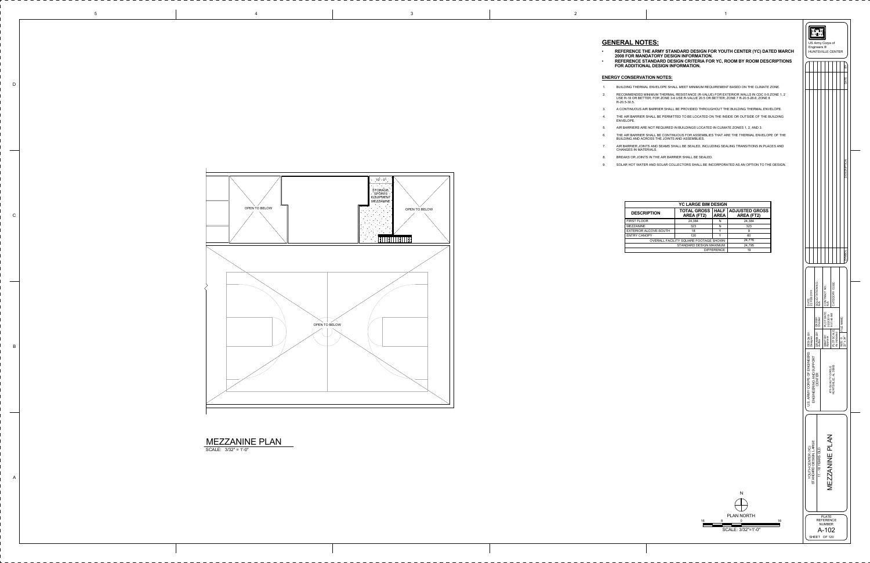

| <b>YC LARGE BIM DESIGN</b>            |                                                                       |                   |                                            |  |  |  |  |
|---------------------------------------|-----------------------------------------------------------------------|-------------------|--------------------------------------------|--|--|--|--|
| <b>SCRIPTION</b>                      | <b>HALF</b><br><b>TOTAL GROSS</b><br><b>AREA (FT2)</b><br><b>AREA</b> |                   | <b>ADJUSTED GROSS</b><br><b>AREA (FT2)</b> |  |  |  |  |
| LOOR                                  | 24,384                                                                | N                 | 24,384                                     |  |  |  |  |
| JINE.                                 | 323                                                                   | N                 | 323                                        |  |  |  |  |
| OR ALCOVE-SOUTH                       | 18                                                                    | Y                 | 9                                          |  |  |  |  |
| CANOPY                                | 120                                                                   | v                 | 60                                         |  |  |  |  |
| OVERALL FACILITY SQUARE FOOTAGE SHOWN | 24,776                                                                |                   |                                            |  |  |  |  |
| STANDARD DESIGN MAXIMUM               |                                                                       |                   | 24,795                                     |  |  |  |  |
|                                       |                                                                       | <b>DIFFERENCE</b> | 19                                         |  |  |  |  |

|                                                         | Engineers ®                         | US Army Corps of<br><b>HUNTSVILLE CENTER</b>                        |                                                                 |                                        |
|---------------------------------------------------------|-------------------------------------|---------------------------------------------------------------------|-----------------------------------------------------------------|----------------------------------------|
|                                                         |                                     |                                                                     |                                                                 | ΣX                                     |
|                                                         |                                     |                                                                     |                                                                 | DATE                                   |
|                                                         |                                     |                                                                     |                                                                 | DESCRIPTION                            |
|                                                         |                                     |                                                                     |                                                                 | SYMBOL                                 |
| DATE:<br>22 FEB 2019                                    | SOLICITATION NO.:<br>N/A            | PLOT DATE: CONTRACT NO.:<br>2/22/2019 N/A                           | CATEGORY CODE:                                                  |                                        |
| DESIGN BY:<br>Designer                                  | DRAWN BY: CKD BY:<br>Author Checker | SBMT BY:<br>Approver                                                | 2/22/2019<br>9:31:44 AM<br>[SCALE: SCALE: 3]<br>PLOT<br>As indi | SIZE: D FILE NAME:<br>$22" \times 34"$ |
| U.S. ARMY CORPS OF ENGINEERS<br>ENGINEERING AND SUPPORT | CENTER                              |                                                                     | 475 QUALITY CIRCLE<br>HUNTSVILLE, AL 35806                      |                                        |
| STANDARD DESIGN, LARGE<br>YOUTH CENTER (YC)             | 11 - 18 YEARS OLD                   |                                                                     | MEZZANINE PLAN                                                  |                                        |
|                                                         |                                     | <b>PLATE</b><br><b>REFERENCE</b><br>NUMBER<br>A-102<br>SHEET OF 120 |                                                                 |                                        |

D

C

B

A

| $\overline{3}$ | $\overline{\phantom{a}}$ |
|----------------|--------------------------|

IERMAL ENVELOPE SHALL MEET MINIMUM REQUIREMENT BASED ON THE CLIMATE ZONE. RECOMMENDED MINIMUM THERMAL RESISTANCE (R-VALUE) FOR EXTERIOR WALLS IN CDC 0-5 ZONE 1, 2 USE R-18 OR BETTER; FOR ZONE 3-6 USE R-VALUE 20.5 OR BETTER; ZONE 7 R-20.5-28.6; ZONE 8

## **ENERGY CONSERVATION NOTES:**



A CONTINUOUS AIR BARRIER SHALL BE PROVIDED THROUGHOUT THE BUILDING THERMAL ENVELOPE. THE AIR BARRIER SHALL BE PERMITTED TO BE LOCATED ON THE INSIDE OR OUTSIDE OF THE BUILDING

RS ARE NOT REQUIRED IN BUILDINGS LOCATED IN CLIMATE ZONES 1, 2, AND 3.

THE AIR BARRIER SHALL BE CONTINUOUS FOR ASSEMBLIES THAT ARE THE THERMAL ENVELOPE OF THE BUILDING AND ACROSS THE JOINTS AND ASSEMBLIES.

| $\mathbf 1$                 | <b>BUILDING THERMAL ENVI</b>                                  |
|-----------------------------|---------------------------------------------------------------|
| $\mathcal{L}_{\mathcal{L}}$ | RECOMMENDED MINIMUM<br>USE R-18 OR BETTER; FO<br>R-20.5-30.5. |
| 3.                          | A CONTINUOUS AIR BARF                                         |
| $\overline{4}$ .            | THE AIR BARRIER SHALL<br>ENVELOPE.                            |
| 5.                          | AIR BARRIERS ARE NOT F                                        |
| 6.                          | THE AIR BARRIER SHALL<br>BUILDING AND ACROSS T                |
| 7 <sub>1</sub>              | AIR BARRIER JOINTS AND<br>CHANGES IN MATERIALS.               |
| 8.                          | BREAKS OR JOINTS IN TH                                        |

د JOINTS AND SEAMS SHALL BE SEALED, INCLUDING SEALING TRANSITIONS IN PLACES AND

BREAKS OR JOINTS IN THE AIR BARRIER SHALL BE SEALED.

SOLAR HOT WATER AND SOLAR COLLECTORS SHALL BE INCORPORATED AS AN OPTION TO THE DESIGN.

9.

## **GENERAL NOTES:**

•

 **REFERENCE THE ARMY STANDARD DESIGN FOR YOUTH CENTER (YC) DATED MARCH 2008 FOR MANDATORY DESIGN INFORMATION. REFERENCE STANDARD DESIGN CRITERIA FOR YC, ROOM BY ROOM DESCRIPTIONS FOR ADDITIONAL DESIGN INFORMATION.**

## •

|                   |   | N                  |    |  |  |
|-------------------|---|--------------------|----|--|--|
|                   |   |                    |    |  |  |
| <b>PLAN NORTH</b> |   |                    |    |  |  |
| 16                | 8 | 0                  | 16 |  |  |
|                   |   | SCALE: 3/32"=1'-0" |    |  |  |